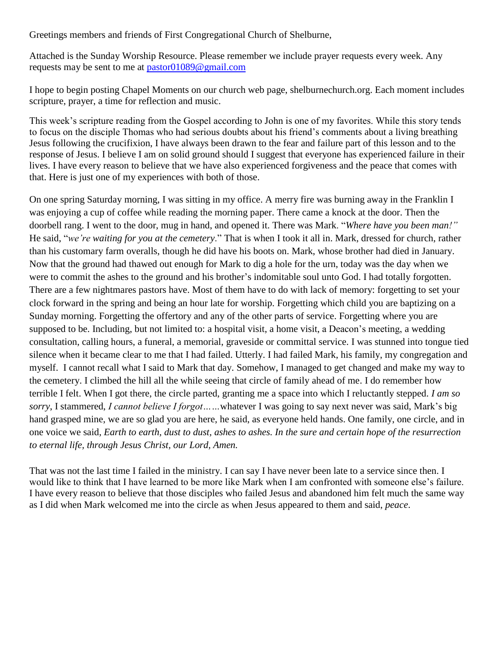Greetings members and friends of First Congregational Church of Shelburne,

Attached is the Sunday Worship Resource. Please remember we include prayer requests every week. Any requests may be sent to me at [pastor01089@gmail.com](mailto:pastor01089@gmail.com)

I hope to begin posting Chapel Moments on our church web page, shelburnechurch.org. Each moment includes scripture, prayer, a time for reflection and music.

This week's scripture reading from the Gospel according to John is one of my favorites. While this story tends to focus on the disciple Thomas who had serious doubts about his friend's comments about a living breathing Jesus following the crucifixion, I have always been drawn to the fear and failure part of this lesson and to the response of Jesus. I believe I am on solid ground should I suggest that everyone has experienced failure in their lives. I have every reason to believe that we have also experienced forgiveness and the peace that comes with that. Here is just one of my experiences with both of those.

On one spring Saturday morning, I was sitting in my office. A merry fire was burning away in the Franklin I was enjoying a cup of coffee while reading the morning paper. There came a knock at the door. Then the doorbell rang. I went to the door, mug in hand, and opened it. There was Mark. "*Where have you been man!"* He said, "*we're waiting for you at the cemetery*." That is when I took it all in. Mark, dressed for church, rather than his customary farm overalls, though he did have his boots on. Mark, whose brother had died in January. Now that the ground had thawed out enough for Mark to dig a hole for the urn, today was the day when we were to commit the ashes to the ground and his brother's indomitable soul unto God. I had totally forgotten. There are a few nightmares pastors have. Most of them have to do with lack of memory: forgetting to set your clock forward in the spring and being an hour late for worship. Forgetting which child you are baptizing on a Sunday morning. Forgetting the offertory and any of the other parts of service. Forgetting where you are supposed to be. Including, but not limited to: a hospital visit, a home visit, a Deacon's meeting, a wedding consultation, calling hours, a funeral, a memorial, graveside or committal service. I was stunned into tongue tied silence when it became clear to me that I had failed. Utterly. I had failed Mark, his family, my congregation and myself. I cannot recall what I said to Mark that day. Somehow, I managed to get changed and make my way to the cemetery. I climbed the hill all the while seeing that circle of family ahead of me. I do remember how terrible I felt. When I got there, the circle parted, granting me a space into which I reluctantly stepped. *I am so sorry*, I stammered, *I cannot believe I forgot……*whatever I was going to say next never was said, Mark's big hand grasped mine, we are so glad you are here, he said, as everyone held hands. One family, one circle, and in one voice we said*, Earth to earth, dust to dust, ashes to ashes. In the sure and certain hope of the resurrection to eternal life, through Jesus Christ, our Lord, Amen.*

That was not the last time I failed in the ministry. I can say I have never been late to a service since then. I would like to think that I have learned to be more like Mark when I am confronted with someone else's failure. I have every reason to believe that those disciples who failed Jesus and abandoned him felt much the same way as I did when Mark welcomed me into the circle as when Jesus appeared to them and said, *peace*.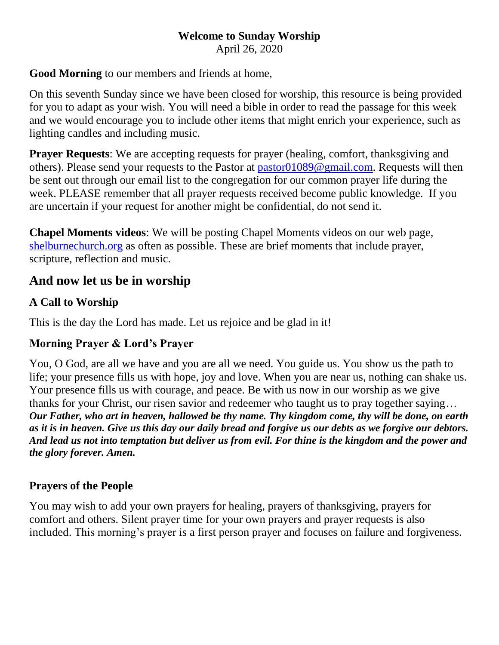# **Welcome to Sunday Worship**

April 26, 2020

### **Good Morning** to our members and friends at home,

On this seventh Sunday since we have been closed for worship, this resource is being provided for you to adapt as your wish. You will need a bible in order to read the passage for this week and we would encourage you to include other items that might enrich your experience, such as lighting candles and including music.

**Prayer Requests:** We are accepting requests for prayer (healing, comfort, thanksgiving and others). Please send your requests to the Pastor at [pastor01089@gmail.com.](mailto:pastor01089@gmail.com) Requests will then be sent out through our email list to the congregation for our common prayer life during the week. PLEASE remember that all prayer requests received become public knowledge. If you are uncertain if your request for another might be confidential, do not send it.

**Chapel Moments videos**: We will be posting Chapel Moments videos on our web page, [shelburnechurch.org](http://www.shelburnechurch.org/) as often as possible. These are brief moments that include prayer, scripture, reflection and music.

# **And now let us be in worship**

### **A Call to Worship**

This is the day the Lord has made. Let us rejoice and be glad in it!

### **Morning Prayer & Lord's Prayer**

You, O God, are all we have and you are all we need. You guide us. You show us the path to life; your presence fills us with hope, joy and love. When you are near us, nothing can shake us. Your presence fills us with courage, and peace. Be with us now in our worship as we give thanks for your Christ, our risen savior and redeemer who taught us to pray together saying… *Our Father, who art in heaven, hallowed be thy name. Thy kingdom come, thy will be done, on earth as it is in heaven. Give us this day our daily bread and forgive us our debts as we forgive our debtors. And lead us not into temptation but deliver us from evil. For thine is the kingdom and the power and the glory forever. Amen.*

# **Prayers of the People**

You may wish to add your own prayers for healing, prayers of thanksgiving, prayers for comfort and others. Silent prayer time for your own prayers and prayer requests is also included. This morning's prayer is a first person prayer and focuses on failure and forgiveness.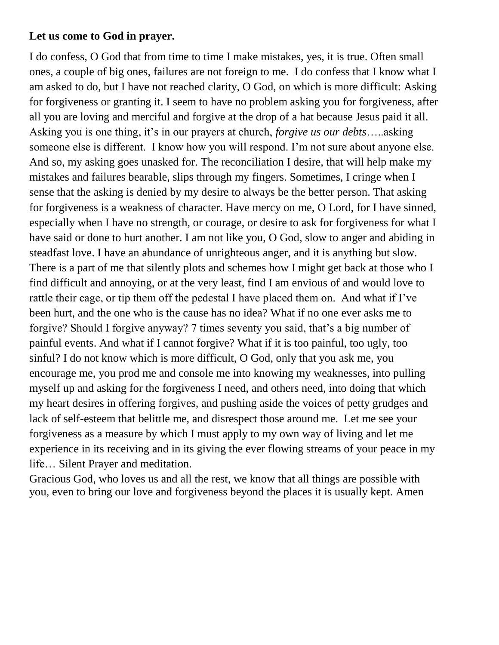#### **Let us come to God in prayer.**

I do confess, O God that from time to time I make mistakes, yes, it is true. Often small ones, a couple of big ones, failures are not foreign to me. I do confess that I know what I am asked to do, but I have not reached clarity, O God, on which is more difficult: Asking for forgiveness or granting it. I seem to have no problem asking you for forgiveness, after all you are loving and merciful and forgive at the drop of a hat because Jesus paid it all. Asking you is one thing, it's in our prayers at church, *forgive us our debts*…..asking someone else is different. I know how you will respond. I'm not sure about anyone else. And so, my asking goes unasked for. The reconciliation I desire, that will help make my mistakes and failures bearable, slips through my fingers. Sometimes, I cringe when I sense that the asking is denied by my desire to always be the better person. That asking for forgiveness is a weakness of character. Have mercy on me, O Lord, for I have sinned, especially when I have no strength, or courage, or desire to ask for forgiveness for what I have said or done to hurt another. I am not like you, O God, slow to anger and abiding in steadfast love. I have an abundance of unrighteous anger, and it is anything but slow. There is a part of me that silently plots and schemes how I might get back at those who I find difficult and annoying, or at the very least, find I am envious of and would love to rattle their cage, or tip them off the pedestal I have placed them on. And what if I've been hurt, and the one who is the cause has no idea? What if no one ever asks me to forgive? Should I forgive anyway? 7 times seventy you said, that's a big number of painful events. And what if I cannot forgive? What if it is too painful, too ugly, too sinful? I do not know which is more difficult, O God, only that you ask me, you encourage me, you prod me and console me into knowing my weaknesses, into pulling myself up and asking for the forgiveness I need, and others need, into doing that which my heart desires in offering forgives, and pushing aside the voices of petty grudges and lack of self-esteem that belittle me, and disrespect those around me. Let me see your forgiveness as a measure by which I must apply to my own way of living and let me experience in its receiving and in its giving the ever flowing streams of your peace in my life… Silent Prayer and meditation.

Gracious God, who loves us and all the rest, we know that all things are possible with you, even to bring our love and forgiveness beyond the places it is usually kept. Amen